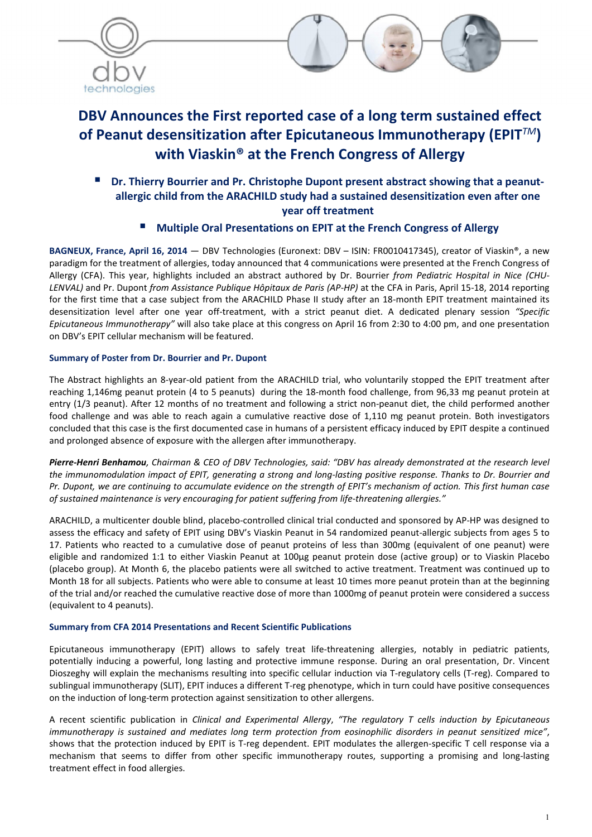



# DBV Announces the First reported case of a long term sustained effect of Peanut desensitization after Epicutaneous Immunotherapy (EPIT*TM*) with Viaskin® at the French Congress of Allergy

 Dr. Thierry Bourrier and Pr. Christophe Dupont present abstract showing that a peanutallergic child from the ARACHILD study had a sustained desensitization even after one year off treatment

## Multiple Oral Presentations on EPIT at the French Congress of Allergy

BAGNEUX, France, April 16, 2014 — DBV Technologies (Euronext: DBV – ISIN: FR0010417345), creator of Viaskin®, a new paradigm for the treatment of allergies, today announced that 4 communications were presented at the French Congress of Allergy (CFA). This year, highlights included an abstract authored by Dr. Bourrier *from Pediatric Hospital in Nice (CHU-LENVAL)* and Pr. Dupont *from Assistance Publique Hôpitaux de Paris (AP-HP)* at the CFA in Paris, April 15-18, 2014 reporting for the first time that a case subject from the ARACHILD Phase II study after an 18-month EPIT treatment maintained its desensitization level after one year off-treatment, with a strict peanut diet. A dedicated plenary session *"Specific Epicutaneous Immunotherapy"* will also take place at this congress on April 16 from 2:30 to 4:00 pm, and one presentation on DBV's EPIT cellular mechanism will be featured.

## Summary of Poster from Dr. Bourrier and Pr. Dupont

The Abstract highlights an 8-year-old patient from the ARACHILD trial, who voluntarily stopped the EPIT treatment after reaching 1,146mg peanut protein (4 to 5 peanuts) during the 18-month food challenge, from 96,33 mg peanut protein at entry (1/3 peanut). After 12 months of no treatment and following a strict non-peanut diet, the child performed another food challenge and was able to reach again a cumulative reactive dose of 1,110 mg peanut protein. Both investigators concluded that this case is the first documented case in humans of a persistent efficacy induced by EPIT despite a continued and prolonged absence of exposure with the allergen after immunotherapy.

*Pierre-Henri Benhamou, Chairman & CEO of DBV Technologies, said: "DBV has already demonstrated at the research level the immunomodulation impact of EPIT, generating a strong and long-lasting positive response. Thanks to Dr. Bourrier and Pr. Dupont, we are continuing to accumulate evidence on the strength of EPIT's mechanism of action. This first human case of sustained maintenance is very encouraging for patient suffering from life-threatening allergies."*

ARACHILD, a multicenter double blind, placebo-controlled clinical trial conducted and sponsored by AP-HP was designed to assess the efficacy and safety of EPIT using DBV's Viaskin Peanut in 54 randomized peanut-allergic subjects from ages 5 to 17. Patients who reacted to a cumulative dose of peanut proteins of less than 300mg (equivalent of one peanut) were eligible and randomized 1:1 to either Viaskin Peanut at 100µg peanut protein dose (active group) or to Viaskin Placebo (placebo group). At Month 6, the placebo patients were all switched to active treatment. Treatment was continued up to Month 18 for all subjects. Patients who were able to consume at least 10 times more peanut protein than at the beginning of the trial and/or reached the cumulative reactive dose of more than 1000mg of peanut protein were considered a success (equivalent to 4 peanuts).

### Summary from CFA 2014 Presentations and Recent Scientific Publications

Epicutaneous immunotherapy (EPIT) allows to safely treat life-threatening allergies, notably in pediatric patients, potentially inducing a powerful, long lasting and protective immune response. During an oral presentation, Dr. Vincent Dioszeghy will explain the mechanisms resulting into specific cellular induction via T-regulatory cells (T-reg). Compared to sublingual immunotherapy (SLIT), EPIT induces a different T-reg phenotype, which in turn could have positive consequences on the induction of long-term protection against sensitization to other allergens.

A recent scientific publication in *Clinical and Experimental Allergy*, *"The regulatory T cells induction by Epicutaneous immunotherapy is sustained and mediates long term protection from eosinophilic disorders in peanut sensitized mice"*, shows that the protection induced by EPIT is T-reg dependent. EPIT modulates the allergen-specific T cell response via a mechanism that seems to differ from other specific immunotherapy routes, supporting a promising and long-lasting treatment effect in food allergies.